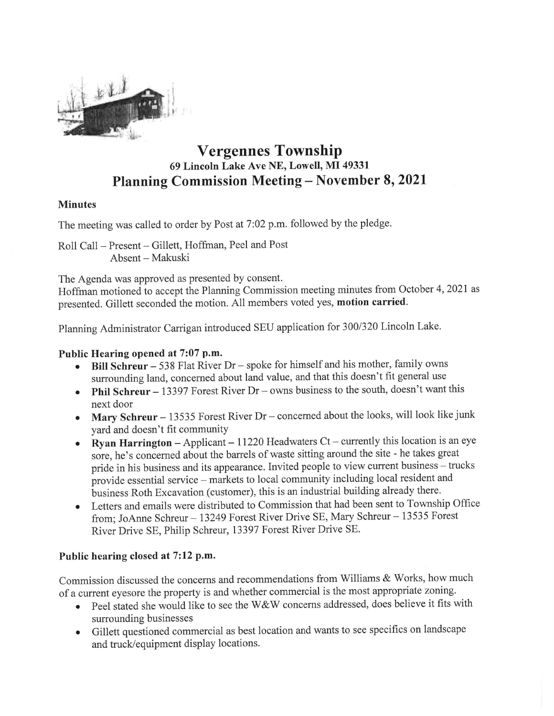

## Vergennes Township 69 Lincoln Lake Ave NE, Lowell, MI 49331 Planning Commission Meeting - November 8,2021

## Minutes

The meeting was called to order by Post at 7:02 p.m. followed by the pledge.

Roll Call - Present - Gillett, Hoffman, Peel and Post Absent - Makuski

The Agenda was approved as presented by consent. Hoffman motioned to accept the Planning Commission meeting minutes from October 4, 2021 as presented. Gillett seconded the motion. All members voted yes, motion carried.

Planning Administrator Carrigan introduced SEU application for 300/320 Lincoln Lake.

- Public Hearing opened at 7:07 p.m. Bill Schreur -538 Flat River Dr spoke for himself and his mother, family owns surrounding land, concerned about land value, and that this doesn't fit general use
	- **Phil Schreur**  $13397$  Forest River Dr  $-$  owns business to the south, doesn't want this next door
	- Mary Schreur 13535 Forest River Dr concerned about the looks, will look like junk
	- yard and doesn't fit community<br>
	Ryan Harrington Applicant 11220 Headwaters Ct currently this location is an eye sore, he's concerned about the barrels of waste sitting around the site - he takes great<br>pride in his business and its appearance. Invited people to view current business – trucks<br>provide essential service – markets to loc
	- from; JoAnne Schreur 13249 Forest River Drive SE, Mary Schreur 13535 Forest River Drive SE, Philip Schreur, 13397 Forest River Drive SE.

## Public hearing closed at 7:12 p.m.

Commission discussed the concerns and recommendations from Williams & Works, how much of a current eyesore the property is and whether commercial is the most appropriate zoning.

- Peel stated she would like to see the W&W concerns addressed, does believe it fits with surrounding businesses
- Gillett questioned commercial as best location and wants to see specifics on landscape and truck/equipment display locations.